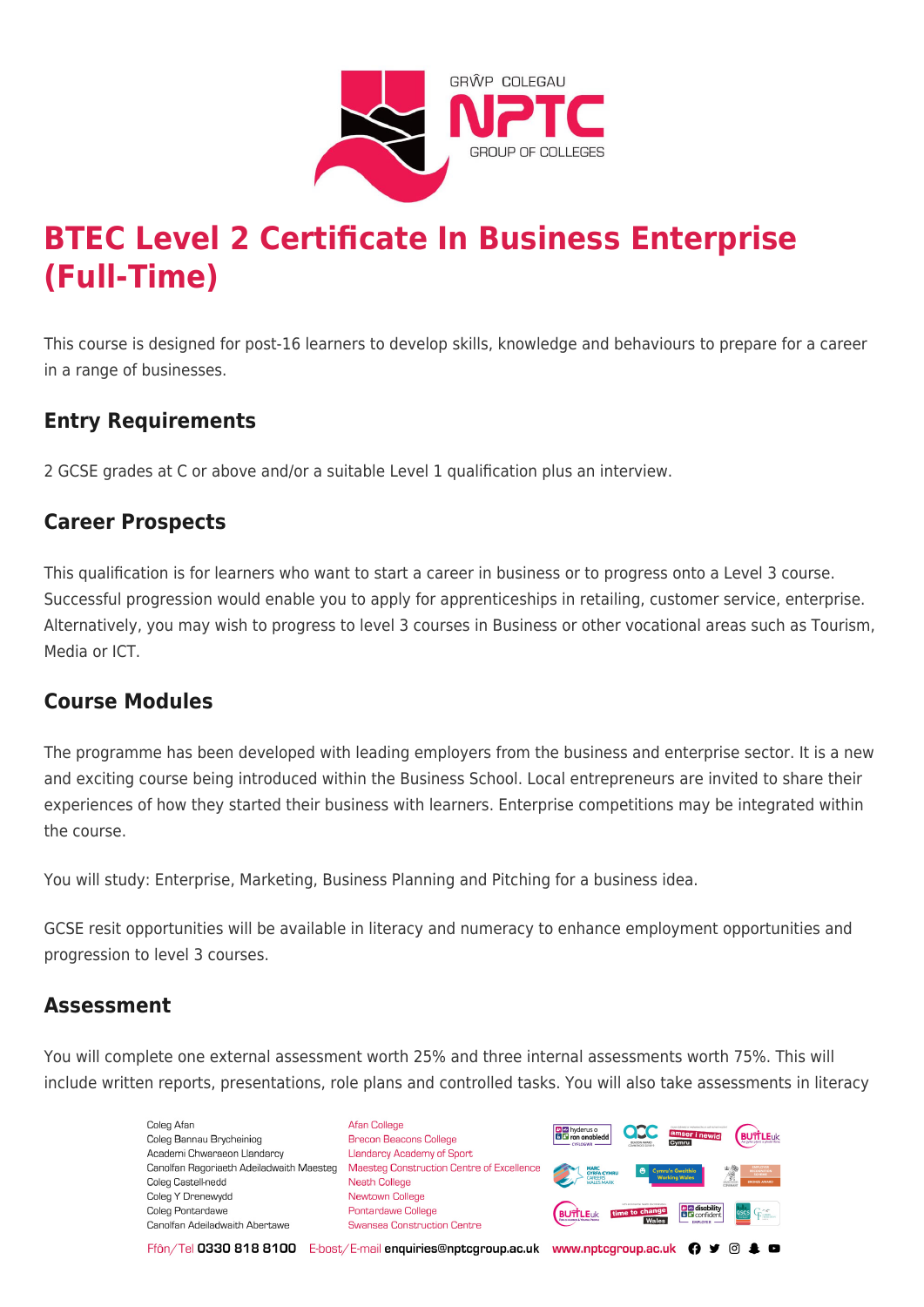

# **BTEC Level 2 Certificate In Business Enterprise (Full-Time)**

This course is designed for post-16 learners to develop skills, knowledge and behaviours to prepare for a career in a range of businesses.

## **Entry Requirements**

2 GCSE grades at C or above and/or a suitable Level 1 qualification plus an interview.

## **Career Prospects**

This qualification is for learners who want to start a career in business or to progress onto a Level 3 course. Successful progression would enable you to apply for apprenticeships in retailing, customer service, enterprise. Alternatively, you may wish to progress to level 3 courses in Business or other vocational areas such as Tourism, Media or ICT.

#### **Course Modules**

The programme has been developed with leading employers from the business and enterprise sector. It is a new and exciting course being introduced within the Business School. Local entrepreneurs are invited to share their experiences of how they started their business with learners. Enterprise competitions may be integrated within the course.

You will study: Enterprise, Marketing, Business Planning and Pitching for a business idea.

GCSE resit opportunities will be available in literacy and numeracy to enhance employment opportunities and progression to level 3 courses.

#### **Assessment**

You will complete one external assessment worth 25% and three internal assessments worth 75%. This will include written reports, presentations, role plans and controlled tasks. You will also take assessments in literacy

> Coleg Afar Coleg Bannau Brycheiniog Academi Chwaraeon Llandarcy Canolfan Ragoriaeth Adeiladwaith Maesteg Coleg Castell-nedd Coleg Y Drenewydd Coleg Pontardawe Canolfan Adeiladwaith Abertawe

**Afan College** Brecon Beacons College **Llandarcy Academy of Sport** Maesteg Construction Centre of Excellence Neath College Newtown College Pontardawe College Swansea Construction Centre



Ffôn/Tel 0330 818 8100 E-bost/E-mail enquiries@nptcgroup.ac.uk www.nptcgroup.ac.uk ? • © \$